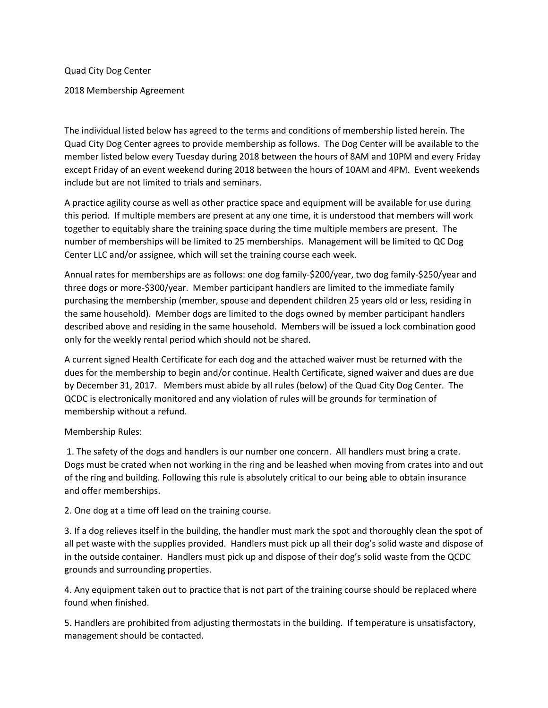Quad City Dog Center

2018 Membership Agreement

The individual listed below has agreed to the terms and conditions of membership listed herein. The Quad City Dog Center agrees to provide membership as follows. The Dog Center will be available to the member listed below every Tuesday during 2018 between the hours of 8AM and 10PM and every Friday except Friday of an event weekend during 2018 between the hours of 10AM and 4PM. Event weekends include but are not limited to trials and seminars.

A practice agility course as well as other practice space and equipment will be available for use during this period. If multiple members are present at any one time, it is understood that members will work together to equitably share the training space during the time multiple members are present. The number of memberships will be limited to 25 memberships. Management will be limited to QC Dog Center LLC and/or assignee, which will set the training course each week.

Annual rates for memberships are as follows: one dog family-\$200/year, two dog family-\$250/year and three dogs or more-\$300/year. Member participant handlers are limited to the immediate family purchasing the membership (member, spouse and dependent children 25 years old or less, residing in the same household). Member dogs are limited to the dogs owned by member participant handlers described above and residing in the same household. Members will be issued a lock combination good only for the weekly rental period which should not be shared.

A current signed Health Certificate for each dog and the attached waiver must be returned with the dues for the membership to begin and/or continue. Health Certificate, signed waiver and dues are due by December 31, 2017. Members must abide by all rules (below) of the Quad City Dog Center. The QCDC is electronically monitored and any violation of rules will be grounds for termination of membership without a refund.

Membership Rules:

1. The safety of the dogs and handlers is our number one concern. All handlers must bring a crate. Dogs must be crated when not working in the ring and be leashed when moving from crates into and out of the ring and building. Following this rule is absolutely critical to our being able to obtain insurance and offer memberships.

2. One dog at a time off lead on the training course.

3. If a dog relieves itself in the building, the handler must mark the spot and thoroughly clean the spot of all pet waste with the supplies provided. Handlers must pick up all their dog's solid waste and dispose of in the outside container. Handlers must pick up and dispose of their dog's solid waste from the QCDC grounds and surrounding properties.

4. Any equipment taken out to practice that is not part of the training course should be replaced where found when finished.

5. Handlers are prohibited from adjusting thermostats in the building. If temperature is unsatisfactory, management should be contacted.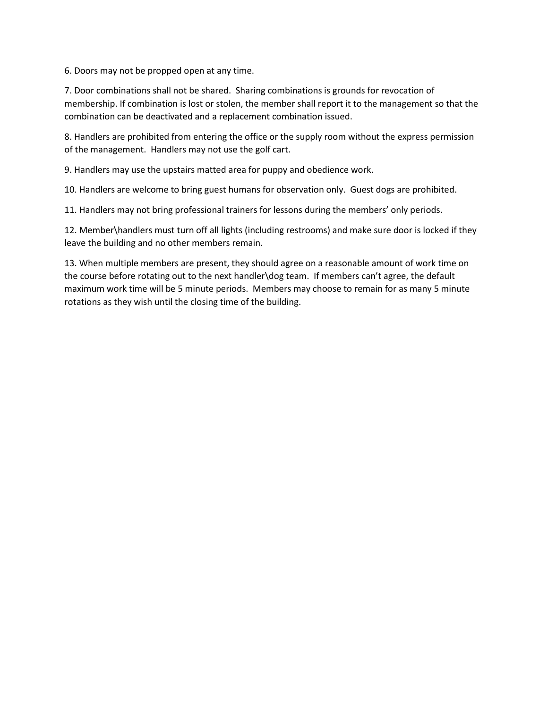6. Doors may not be propped open at any time.

7. Door combinations shall not be shared. Sharing combinations is grounds for revocation of membership. If combination is lost or stolen, the member shall report it to the management so that the combination can be deactivated and a replacement combination issued.

8. Handlers are prohibited from entering the office or the supply room without the express permission of the management. Handlers may not use the golf cart.

9. Handlers may use the upstairs matted area for puppy and obedience work.

10. Handlers are welcome to bring guest humans for observation only. Guest dogs are prohibited.

11. Handlers may not bring professional trainers for lessons during the members' only periods.

12. Member\handlers must turn off all lights (including restrooms) and make sure door is locked if they leave the building and no other members remain.

13. When multiple members are present, they should agree on a reasonable amount of work time on the course before rotating out to the next handler\dog team. If members can't agree, the default maximum work time will be 5 minute periods. Members may choose to remain for as many 5 minute rotations as they wish until the closing time of the building.